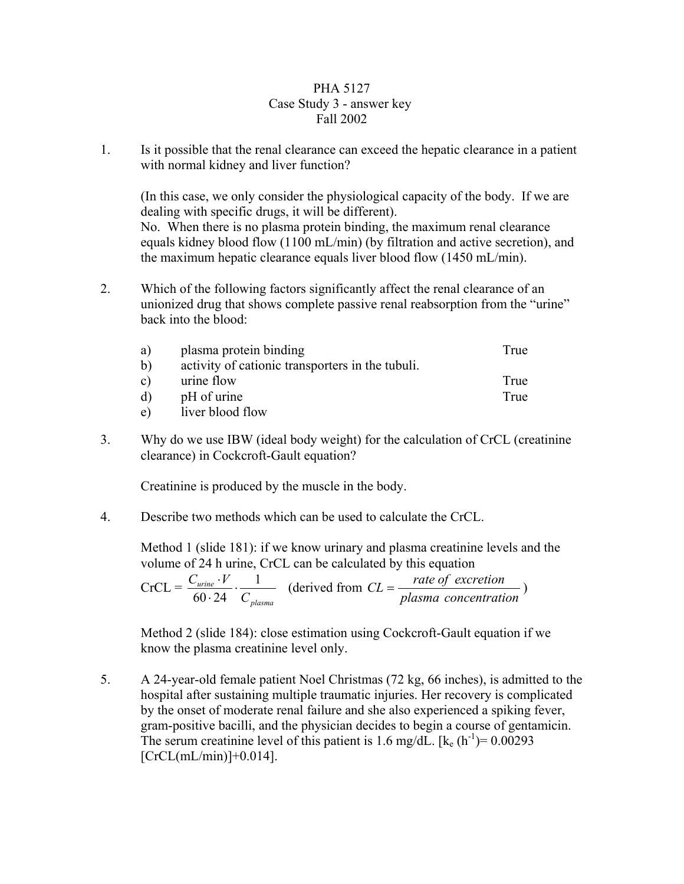## PHA 5127 Case Study 3 - answer key Fall 2002

1. Is it possible that the renal clearance can exceed the hepatic clearance in a patient with normal kidney and liver function?

(In this case, we only consider the physiological capacity of the body. If we are dealing with specific drugs, it will be different).

No. When there is no plasma protein binding, the maximum renal clearance equals kidney blood flow (1100 mL/min) (by filtration and active secretion), and the maximum hepatic clearance equals liver blood flow (1450 mL/min).

2. Which of the following factors significantly affect the renal clearance of an unionized drug that shows complete passive renal reabsorption from the "urine" back into the blood:

| a)           | plasma protein binding                           | True |
|--------------|--------------------------------------------------|------|
| $\mathbf{b}$ | activity of cationic transporters in the tubuli. |      |
| $\mathbf{c}$ | urine flow                                       | True |
| $\mathbf{d}$ | pH of urine                                      | True |
| $\epsilon$   | liver blood flow                                 |      |

3. Why do we use IBW (ideal body weight) for the calculation of CrCL (creatinine clearance) in Cockcroft-Gault equation?

Creatinine is produced by the muscle in the body.

4. Describe two methods which can be used to calculate the CrCL.

Method 1 (slide 181): if we know urinary and plasma creatinine levels and the volume of 24 h urine, CrCL can be calculated by this equation

 $CrCL =$ *plasma urine C*  $\frac{C_{\text{urine}} \cdot V}{60 \cdot 24} \cdot \frac{1}{C_{\text{plasma}}}$  (derived from  $CL = \frac{\text{rate of execution}}{\text{plasma concentration}}$ )

Method 2 (slide 184): close estimation using Cockcroft-Gault equation if we know the plasma creatinine level only.

5. A 24-year-old female patient Noel Christmas (72 kg, 66 inches), is admitted to the hospital after sustaining multiple traumatic injuries. Her recovery is complicated by the onset of moderate renal failure and she also experienced a spiking fever, gram-positive bacilli, and the physician decides to begin a course of gentamicin. The serum creatinine level of this patient is 1.6 mg/dL.  $[k_e (h^{-1}) = 0.00293]$  $[CrCL(mL/min)]+0.014]$ .